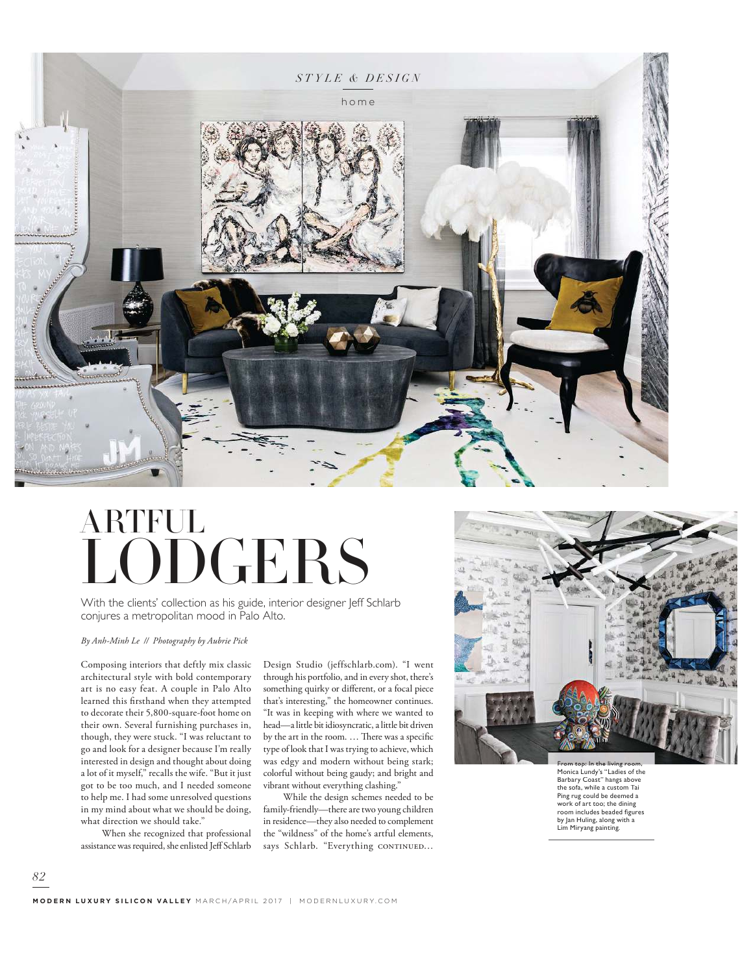

## LODGERS ARTFUL

With the clients' collection as his guide, interior designer Jeff Schlarb conjures a metropolitan mood in Palo Alto.

*By Anh-Minh Le // Photography by Aubrie Pick*

Composing interiors that deftly mix classic architectural style with bold contemporary art is no easy feat. A couple in Palo Alto learned this firsthand when they attempted to decorate their 5,800-square-foot home on their own. Several furnishing purchases in, though, they were stuck. "I was reluctant to go and look for a designer because I'm really interested in design and thought about doing a lot of it myself," recalls the wife. "But it just got to be too much, and I needed someone to help me. I had some unresolved questions in my mind about what we should be doing, what direction we should take."

 When she recognized that professional assistance was required, she enlisted Jeff Schlarb

*82*

Design Studio (jeffschlarb.com). "I went through his portfolio, and in every shot, there's something quirky or different, or a focal piece that's interesting," the homeowner continues. "It was in keeping with where we wanted to head—a little bit idiosyncratic, a little bit driven by the art in the room. … There was a specific type of look that I was trying to achieve, which was edgy and modern without being stark; colorful without being gaudy; and bright and vibrant without everything clashing."

 While the design schemes needed to be family-friendly—there are two young children in residence—they also needed to complement the "wildness" of the home's artful elements, says Schlarb. "Everything CONTINUED...



Monica Lundy's "Ladies of the Barbary Coast" hangs above the sofa, while a custom Tai Ping rug could be deemed a work of art too; the dining room includes beaded figures by Jan Huling, along with a Lim Miryang painting.